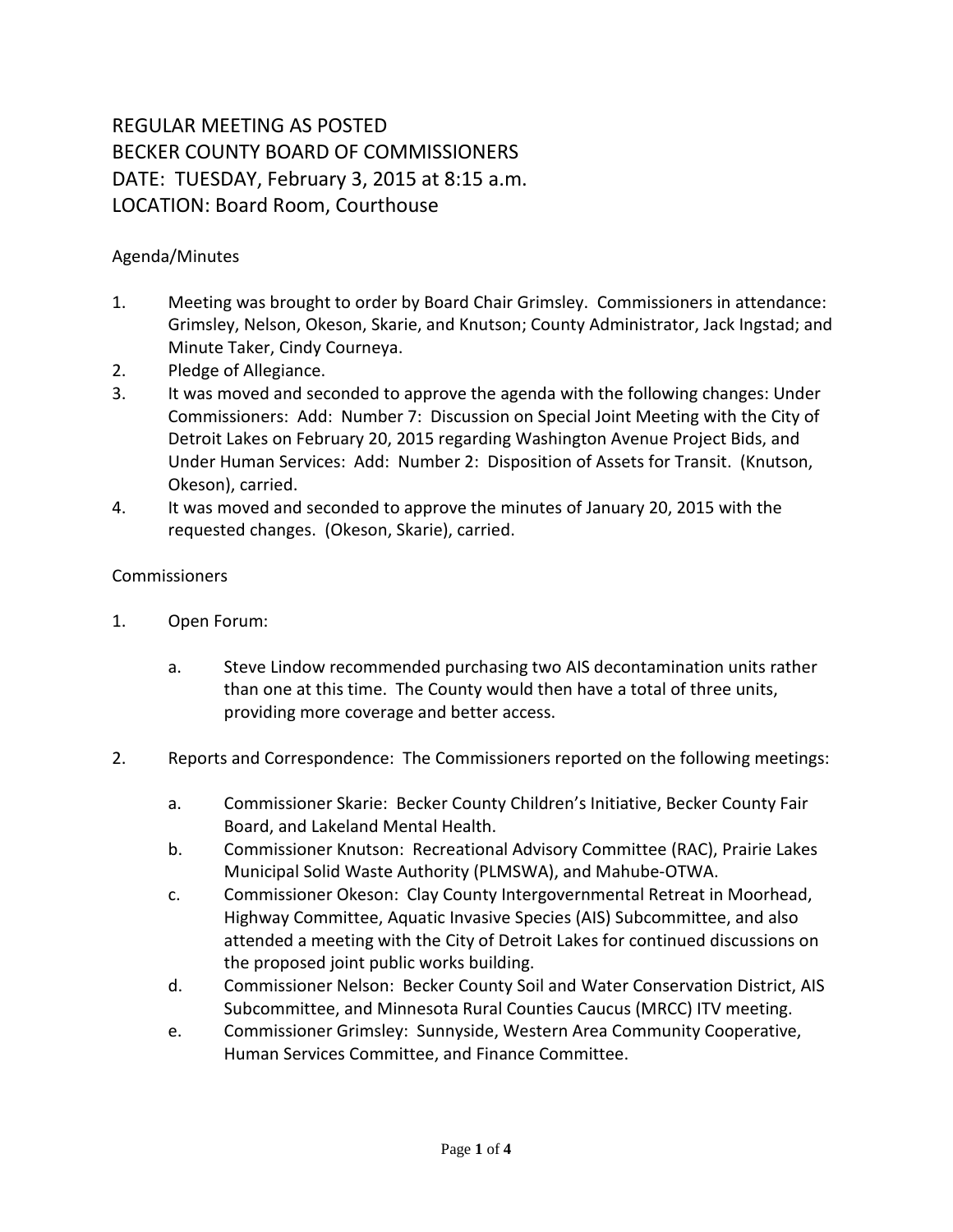## REGULAR MEETING AS POSTED BECKER COUNTY BOARD OF COMMISSIONERS DATE: TUESDAY, February 3, 2015 at 8:15 a.m. LOCATION: Board Room, Courthouse

## Agenda/Minutes

- 1. Meeting was brought to order by Board Chair Grimsley. Commissioners in attendance: Grimsley, Nelson, Okeson, Skarie, and Knutson; County Administrator, Jack Ingstad; and Minute Taker, Cindy Courneya.
- 2. Pledge of Allegiance.
- 3. It was moved and seconded to approve the agenda with the following changes: Under Commissioners: Add: Number 7: Discussion on Special Joint Meeting with the City of Detroit Lakes on February 20, 2015 regarding Washington Avenue Project Bids, and Under Human Services: Add: Number 2: Disposition of Assets for Transit. (Knutson, Okeson), carried.
- 4. It was moved and seconded to approve the minutes of January 20, 2015 with the requested changes. (Okeson, Skarie), carried.

## Commissioners

- 1. Open Forum:
	- a. Steve Lindow recommended purchasing two AIS decontamination units rather than one at this time. The County would then have a total of three units, providing more coverage and better access.
- 2. Reports and Correspondence: The Commissioners reported on the following meetings:
	- a. Commissioner Skarie: Becker County Children's Initiative, Becker County Fair Board, and Lakeland Mental Health.
	- b. Commissioner Knutson: Recreational Advisory Committee (RAC), Prairie Lakes Municipal Solid Waste Authority (PLMSWA), and Mahube-OTWA.
	- c. Commissioner Okeson: Clay County Intergovernmental Retreat in Moorhead, Highway Committee, Aquatic Invasive Species (AIS) Subcommittee, and also attended a meeting with the City of Detroit Lakes for continued discussions on the proposed joint public works building.
	- d. Commissioner Nelson: Becker County Soil and Water Conservation District, AIS Subcommittee, and Minnesota Rural Counties Caucus (MRCC) ITV meeting.
	- e. Commissioner Grimsley: Sunnyside, Western Area Community Cooperative, Human Services Committee, and Finance Committee.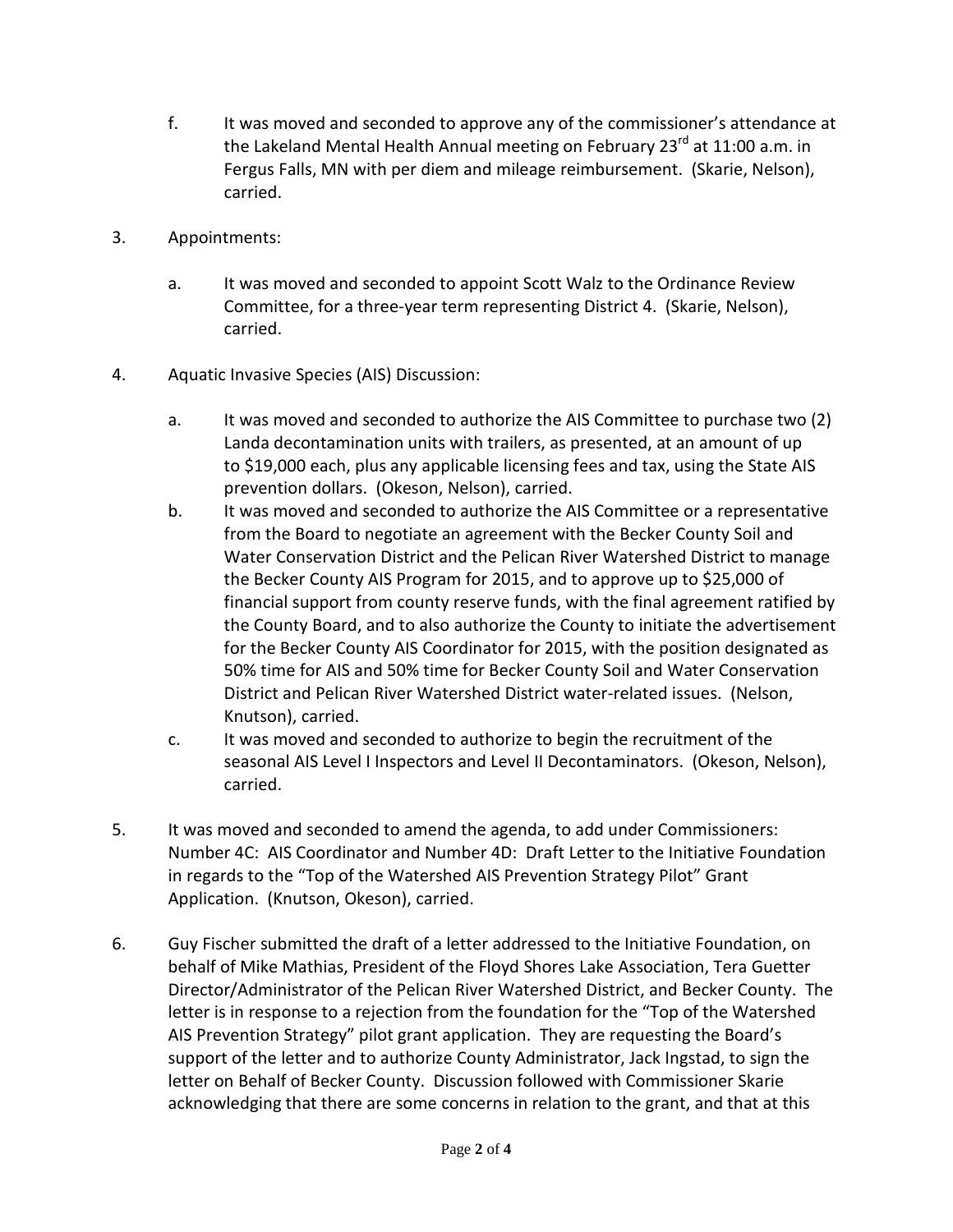- f. It was moved and seconded to approve any of the commissioner's attendance at the Lakeland Mental Health Annual meeting on February 23 $^{rd}$  at 11:00 a.m. in Fergus Falls, MN with per diem and mileage reimbursement. (Skarie, Nelson), carried.
- 3. Appointments:
	- a. It was moved and seconded to appoint Scott Walz to the Ordinance Review Committee, for a three-year term representing District 4. (Skarie, Nelson), carried.
- 4. Aquatic Invasive Species (AIS) Discussion:
	- a. It was moved and seconded to authorize the AIS Committee to purchase two (2) Landa decontamination units with trailers, as presented, at an amount of up to \$19,000 each, plus any applicable licensing fees and tax, using the State AIS prevention dollars. (Okeson, Nelson), carried.
	- b. It was moved and seconded to authorize the AIS Committee or a representative from the Board to negotiate an agreement with the Becker County Soil and Water Conservation District and the Pelican River Watershed District to manage the Becker County AIS Program for 2015, and to approve up to \$25,000 of financial support from county reserve funds, with the final agreement ratified by the County Board, and to also authorize the County to initiate the advertisement for the Becker County AIS Coordinator for 2015, with the position designated as 50% time for AIS and 50% time for Becker County Soil and Water Conservation District and Pelican River Watershed District water-related issues. (Nelson, Knutson), carried.
	- c. It was moved and seconded to authorize to begin the recruitment of the seasonal AIS Level I Inspectors and Level II Decontaminators. (Okeson, Nelson), carried.
- 5. It was moved and seconded to amend the agenda, to add under Commissioners: Number 4C: AIS Coordinator and Number 4D: Draft Letter to the Initiative Foundation in regards to the "Top of the Watershed AIS Prevention Strategy Pilot" Grant Application. (Knutson, Okeson), carried.
- 6. Guy Fischer submitted the draft of a letter addressed to the Initiative Foundation, on behalf of Mike Mathias, President of the Floyd Shores Lake Association, Tera Guetter Director/Administrator of the Pelican River Watershed District, and Becker County. The letter is in response to a rejection from the foundation for the "Top of the Watershed AIS Prevention Strategy" pilot grant application. They are requesting the Board's support of the letter and to authorize County Administrator, Jack Ingstad, to sign the letter on Behalf of Becker County. Discussion followed with Commissioner Skarie acknowledging that there are some concerns in relation to the grant, and that at this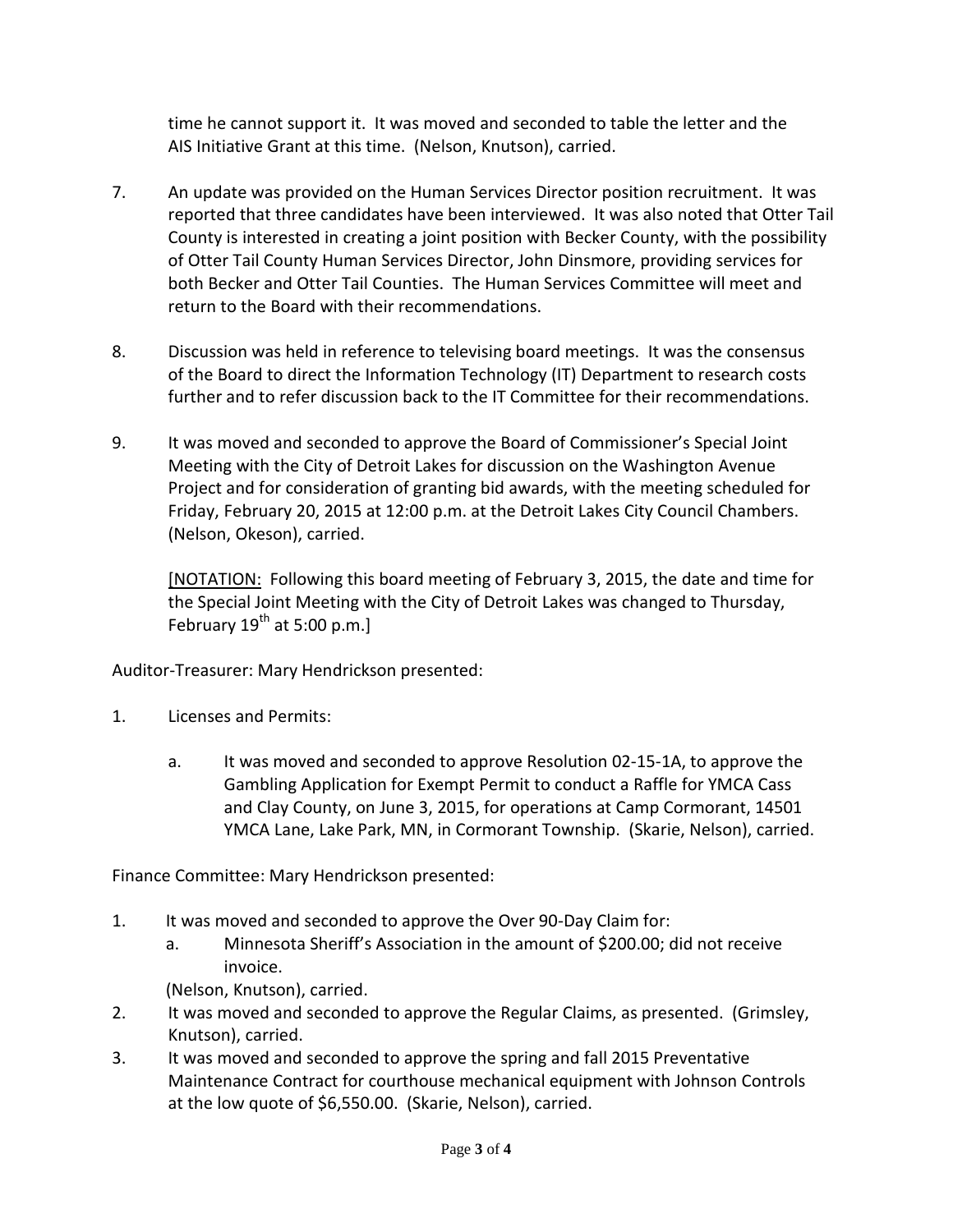time he cannot support it. It was moved and seconded to table the letter and the AIS Initiative Grant at this time. (Nelson, Knutson), carried.

- 7. An update was provided on the Human Services Director position recruitment. It was reported that three candidates have been interviewed. It was also noted that Otter Tail County is interested in creating a joint position with Becker County, with the possibility of Otter Tail County Human Services Director, John Dinsmore, providing services for both Becker and Otter Tail Counties. The Human Services Committee will meet and return to the Board with their recommendations.
- 8. Discussion was held in reference to televising board meetings. It was the consensus of the Board to direct the Information Technology (IT) Department to research costs further and to refer discussion back to the IT Committee for their recommendations.
- 9. It was moved and seconded to approve the Board of Commissioner's Special Joint Meeting with the City of Detroit Lakes for discussion on the Washington Avenue Project and for consideration of granting bid awards, with the meeting scheduled for Friday, February 20, 2015 at 12:00 p.m. at the Detroit Lakes City Council Chambers. (Nelson, Okeson), carried.

[NOTATION: Following this board meeting of February 3, 2015, the date and time for the Special Joint Meeting with the City of Detroit Lakes was changed to Thursday, February  $19^{th}$  at 5:00 p.m.]

Auditor-Treasurer: Mary Hendrickson presented:

- 1. Licenses and Permits:
	- a. It was moved and seconded to approve Resolution 02-15-1A, to approve the Gambling Application for Exempt Permit to conduct a Raffle for YMCA Cass and Clay County, on June 3, 2015, for operations at Camp Cormorant, 14501 YMCA Lane, Lake Park, MN, in Cormorant Township. (Skarie, Nelson), carried.

Finance Committee: Mary Hendrickson presented:

- 1. It was moved and seconded to approve the Over 90-Day Claim for:
	- a. Minnesota Sheriff's Association in the amount of \$200.00; did not receive invoice.
		- (Nelson, Knutson), carried.
- 2. It was moved and seconded to approve the Regular Claims, as presented. (Grimsley, Knutson), carried.
- 3. It was moved and seconded to approve the spring and fall 2015 Preventative Maintenance Contract for courthouse mechanical equipment with Johnson Controls at the low quote of \$6,550.00. (Skarie, Nelson), carried.